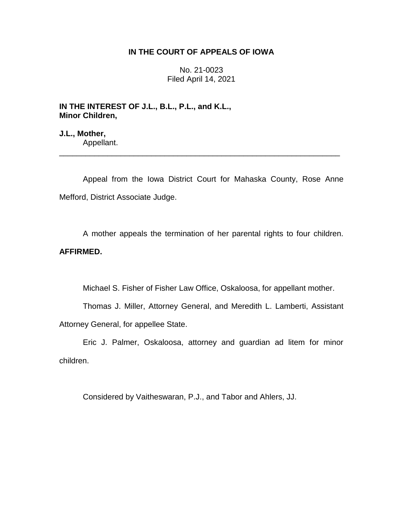## **IN THE COURT OF APPEALS OF IOWA**

No. 21-0023 Filed April 14, 2021

**IN THE INTEREST OF J.L., B.L., P.L., and K.L., Minor Children,**

**J.L., Mother,** Appellant.

Appeal from the Iowa District Court for Mahaska County, Rose Anne Mefford, District Associate Judge.

\_\_\_\_\_\_\_\_\_\_\_\_\_\_\_\_\_\_\_\_\_\_\_\_\_\_\_\_\_\_\_\_\_\_\_\_\_\_\_\_\_\_\_\_\_\_\_\_\_\_\_\_\_\_\_\_\_\_\_\_\_\_\_\_

A mother appeals the termination of her parental rights to four children.

# **AFFIRMED.**

Michael S. Fisher of Fisher Law Office, Oskaloosa, for appellant mother.

Thomas J. Miller, Attorney General, and Meredith L. Lamberti, Assistant Attorney General, for appellee State.

Eric J. Palmer, Oskaloosa, attorney and guardian ad litem for minor children.

Considered by Vaitheswaran, P.J., and Tabor and Ahlers, JJ.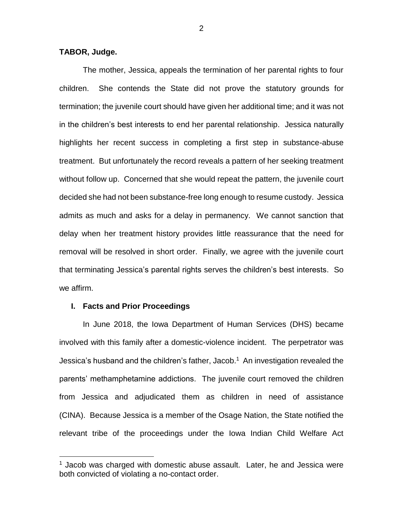#### **TABOR, Judge.**

The mother, Jessica, appeals the termination of her parental rights to four children. She contends the State did not prove the statutory grounds for termination; the juvenile court should have given her additional time; and it was not in the children's best interests to end her parental relationship. Jessica naturally highlights her recent success in completing a first step in substance-abuse treatment. But unfortunately the record reveals a pattern of her seeking treatment without follow up. Concerned that she would repeat the pattern, the juvenile court decided she had not been substance-free long enough to resume custody. Jessica admits as much and asks for a delay in permanency. We cannot sanction that delay when her treatment history provides little reassurance that the need for removal will be resolved in short order. Finally, we agree with the juvenile court that terminating Jessica's parental rights serves the children's best interests. So we affirm.

#### **I. Facts and Prior Proceedings**

 $\overline{a}$ 

In June 2018, the Iowa Department of Human Services (DHS) became involved with this family after a domestic-violence incident. The perpetrator was Jessica's husband and the children's father, Jacob.<sup>1</sup> An investigation revealed the parents' methamphetamine addictions. The juvenile court removed the children from Jessica and adjudicated them as children in need of assistance (CINA). Because Jessica is a member of the Osage Nation, the State notified the relevant tribe of the proceedings under the Iowa Indian Child Welfare Act

 $1$  Jacob was charged with domestic abuse assault. Later, he and Jessica were both convicted of violating a no-contact order.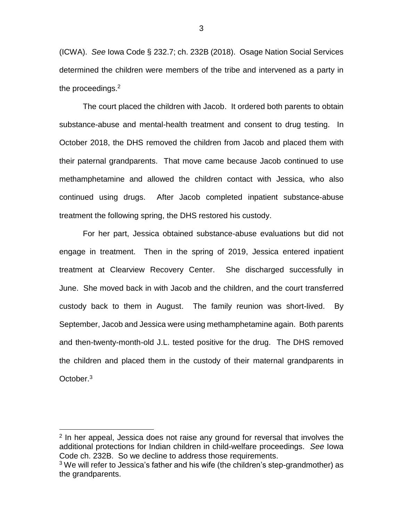(ICWA). *See* Iowa Code § 232.7; ch. 232B (2018). Osage Nation Social Services determined the children were members of the tribe and intervened as a party in the proceedings. $2$ 

The court placed the children with Jacob. It ordered both parents to obtain substance-abuse and mental-health treatment and consent to drug testing. In October 2018, the DHS removed the children from Jacob and placed them with their paternal grandparents. That move came because Jacob continued to use methamphetamine and allowed the children contact with Jessica, who also continued using drugs. After Jacob completed inpatient substance-abuse treatment the following spring, the DHS restored his custody.

For her part, Jessica obtained substance-abuse evaluations but did not engage in treatment. Then in the spring of 2019, Jessica entered inpatient treatment at Clearview Recovery Center. She discharged successfully in June. She moved back in with Jacob and the children, and the court transferred custody back to them in August. The family reunion was short-lived. By September, Jacob and Jessica were using methamphetamine again. Both parents and then-twenty-month-old J.L. tested positive for the drug. The DHS removed the children and placed them in the custody of their maternal grandparents in October.<sup>3</sup>

 $\overline{a}$ 

<sup>&</sup>lt;sup>2</sup> In her appeal, Jessica does not raise any ground for reversal that involves the additional protections for Indian children in child-welfare proceedings. *See* Iowa Code ch. 232B. So we decline to address those requirements.

 $3$  We will refer to Jessica's father and his wife (the children's step-grandmother) as the grandparents.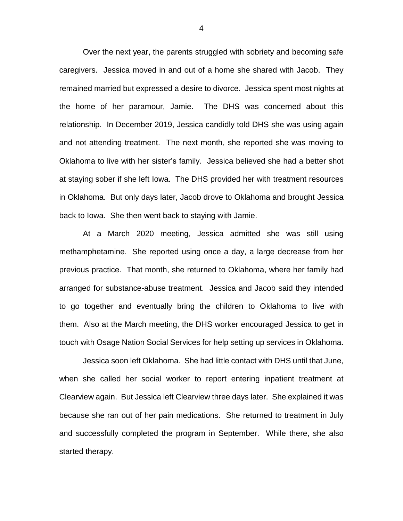Over the next year, the parents struggled with sobriety and becoming safe caregivers. Jessica moved in and out of a home she shared with Jacob. They remained married but expressed a desire to divorce. Jessica spent most nights at the home of her paramour, Jamie. The DHS was concerned about this relationship. In December 2019, Jessica candidly told DHS she was using again and not attending treatment. The next month, she reported she was moving to Oklahoma to live with her sister's family. Jessica believed she had a better shot at staying sober if she left Iowa. The DHS provided her with treatment resources in Oklahoma. But only days later, Jacob drove to Oklahoma and brought Jessica back to Iowa. She then went back to staying with Jamie.

At a March 2020 meeting, Jessica admitted she was still using methamphetamine. She reported using once a day, a large decrease from her previous practice. That month, she returned to Oklahoma, where her family had arranged for substance-abuse treatment. Jessica and Jacob said they intended to go together and eventually bring the children to Oklahoma to live with them. Also at the March meeting, the DHS worker encouraged Jessica to get in touch with Osage Nation Social Services for help setting up services in Oklahoma.

Jessica soon left Oklahoma. She had little contact with DHS until that June, when she called her social worker to report entering inpatient treatment at Clearview again. But Jessica left Clearview three days later. She explained it was because she ran out of her pain medications. She returned to treatment in July and successfully completed the program in September. While there, she also started therapy.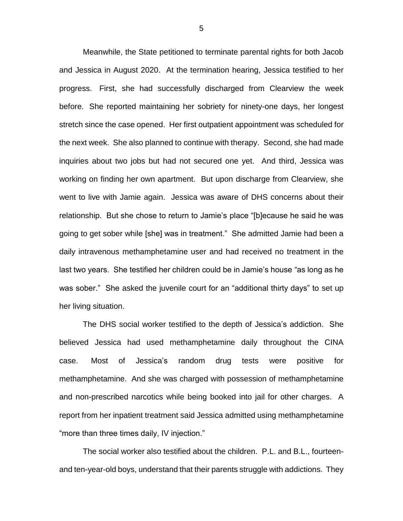Meanwhile, the State petitioned to terminate parental rights for both Jacob and Jessica in August 2020. At the termination hearing, Jessica testified to her progress. First, she had successfully discharged from Clearview the week before. She reported maintaining her sobriety for ninety-one days, her longest stretch since the case opened. Her first outpatient appointment was scheduled for the next week. She also planned to continue with therapy. Second, she had made inquiries about two jobs but had not secured one yet. And third, Jessica was working on finding her own apartment. But upon discharge from Clearview, she went to live with Jamie again. Jessica was aware of DHS concerns about their relationship. But she chose to return to Jamie's place "[b]ecause he said he was going to get sober while [she] was in treatment." She admitted Jamie had been a daily intravenous methamphetamine user and had received no treatment in the last two years. She testified her children could be in Jamie's house "as long as he was sober." She asked the juvenile court for an "additional thirty days" to set up her living situation.

The DHS social worker testified to the depth of Jessica's addiction. She believed Jessica had used methamphetamine daily throughout the CINA case. Most of Jessica's random drug tests were positive for methamphetamine. And she was charged with possession of methamphetamine and non-prescribed narcotics while being booked into jail for other charges. A report from her inpatient treatment said Jessica admitted using methamphetamine "more than three times daily, IV injection."

The social worker also testified about the children. P.L. and B.L., fourteenand ten-year-old boys, understand that their parents struggle with addictions. They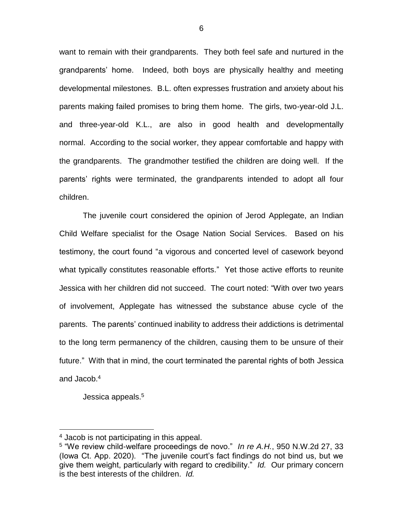want to remain with their grandparents. They both feel safe and nurtured in the grandparents' home. Indeed, both boys are physically healthy and meeting developmental milestones. B.L. often expresses frustration and anxiety about his parents making failed promises to bring them home. The girls, two-year-old J.L. and three-year-old K.L., are also in good health and developmentally normal. According to the social worker, they appear comfortable and happy with the grandparents. The grandmother testified the children are doing well. If the parents' rights were terminated, the grandparents intended to adopt all four children.

The juvenile court considered the opinion of Jerod Applegate, an Indian Child Welfare specialist for the Osage Nation Social Services. Based on his testimony, the court found "a vigorous and concerted level of casework beyond what typically constitutes reasonable efforts." Yet those active efforts to reunite Jessica with her children did not succeed. The court noted: "With over two years of involvement, Applegate has witnessed the substance abuse cycle of the parents. The parents' continued inability to address their addictions is detrimental to the long term permanency of the children, causing them to be unsure of their future." With that in mind, the court terminated the parental rights of both Jessica and Jacob.<sup>4</sup>

Jessica appeals.<sup>5</sup>

 $\overline{a}$ 

<sup>&</sup>lt;sup>4</sup> Jacob is not participating in this appeal.

<sup>5</sup> "We review child-welfare proceedings de novo." *In re A.H.*, 950 N.W.2d 27, 33 (Iowa Ct. App. 2020). "The juvenile court's fact findings do not bind us, but we give them weight, particularly with regard to credibility." *Id.* Our primary concern is the best interests of the children. *Id.*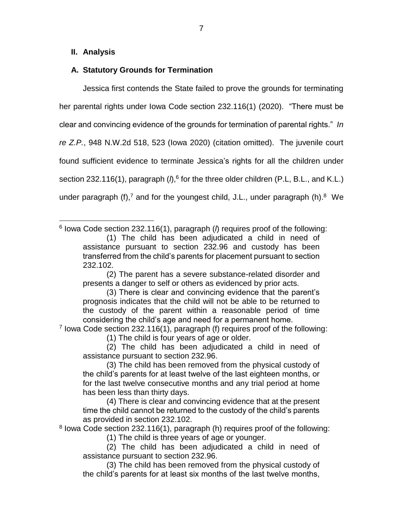### **II. Analysis**

### **A. Statutory Grounds for Termination**

Jessica first contends the State failed to prove the grounds for terminating her parental rights under Iowa Code section 232.116(1) (2020). "There must be clear and convincing evidence of the grounds for termination of parental rights." *In re Z.P.*, 948 N.W.2d 518, 523 (Iowa 2020) (citation omitted). The juvenile court found sufficient evidence to terminate Jessica's rights for all the children under section 232.116(1), paragraph ( $\hat{h}$ ,<sup>6</sup> for the three older children (P.L, B.L., and K.L.) under paragraph (f),<sup>7</sup> and for the youngest child, J.L., under paragraph (h).<sup>8</sup> We

 $\overline{a}$ 6 Iowa Code section 232.116(1), paragraph (*l*) requires proof of the following: (1) The child has been adjudicated a child in need of assistance pursuant to section 232.96 and custody has been transferred from the child's parents for placement pursuant to section 232.102.

(2) The parent has a severe substance-related disorder and presents a danger to self or others as evidenced by prior acts.

(3) There is clear and convincing evidence that the parent's prognosis indicates that the child will not be able to be returned to the custody of the parent within a reasonable period of time considering the child's age and need for a permanent home.

<sup>7</sup> lowa Code section 232.116(1), paragraph (f) requires proof of the following:

(1) The child is four years of age or older.

(2) The child has been adjudicated a child in need of assistance pursuant to section 232.96.

(3) The child has been removed from the physical custody of the child's parents for at least twelve of the last eighteen months, or for the last twelve consecutive months and any trial period at home has been less than thirty days.

(4) There is clear and convincing evidence that at the present time the child cannot be returned to the custody of the child's parents as provided in section 232.102.

<sup>8</sup> lowa Code section 232.116(1), paragraph (h) requires proof of the following:

(1) The child is three years of age or younger.

(2) The child has been adjudicated a child in need of assistance pursuant to section 232.96.

(3) The child has been removed from the physical custody of the child's parents for at least six months of the last twelve months,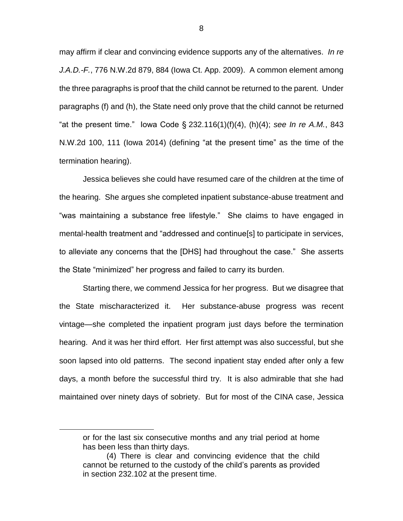may affirm if clear and convincing evidence supports any of the alternatives. *In re J.A.D.-F.*, 776 N.W.2d 879, 884 (Iowa Ct. App. 2009). A common element among the three paragraphs is proof that the child cannot be returned to the parent. Under paragraphs (f) and (h), the State need only prove that the child cannot be returned "at the present time." Iowa Code § 232.116(1)(f)(4), (h)(4); *see In re A.M.*, 843 N.W.2d 100, 111 (Iowa 2014) (defining "at the present time" as the time of the termination hearing).

Jessica believes she could have resumed care of the children at the time of the hearing. She argues she completed inpatient substance-abuse treatment and "was maintaining a substance free lifestyle." She claims to have engaged in mental-health treatment and "addressed and continue[s] to participate in services, to alleviate any concerns that the [DHS] had throughout the case." She asserts the State "minimized" her progress and failed to carry its burden.

Starting there, we commend Jessica for her progress. But we disagree that the State mischaracterized it. Her substance-abuse progress was recent vintage—she completed the inpatient program just days before the termination hearing. And it was her third effort. Her first attempt was also successful, but she soon lapsed into old patterns. The second inpatient stay ended after only a few days, a month before the successful third try. It is also admirable that she had maintained over ninety days of sobriety. But for most of the CINA case, Jessica

 $\overline{a}$ 

or for the last six consecutive months and any trial period at home has been less than thirty days.

<sup>(4)</sup> There is clear and convincing evidence that the child cannot be returned to the custody of the child's parents as provided in section 232.102 at the present time.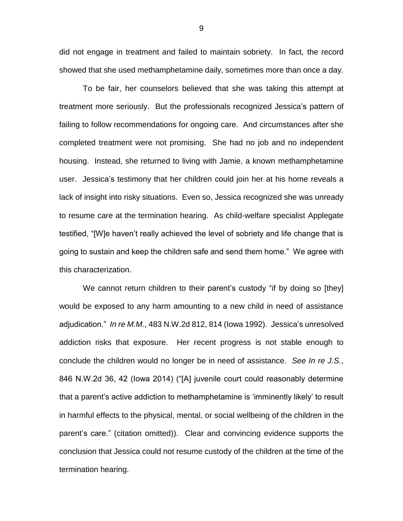did not engage in treatment and failed to maintain sobriety. In fact, the record showed that she used methamphetamine daily, sometimes more than once a day.

To be fair, her counselors believed that she was taking this attempt at treatment more seriously. But the professionals recognized Jessica's pattern of failing to follow recommendations for ongoing care. And circumstances after she completed treatment were not promising. She had no job and no independent housing. Instead, she returned to living with Jamie, a known methamphetamine user. Jessica's testimony that her children could join her at his home reveals a lack of insight into risky situations. Even so, Jessica recognized she was unready to resume care at the termination hearing. As child-welfare specialist Applegate testified, "[W]e haven't really achieved the level of sobriety and life change that is going to sustain and keep the children safe and send them home." We agree with this characterization.

We cannot return children to their parent's custody "if by doing so [they] would be exposed to any harm amounting to a new child in need of assistance adjudication." *In re M.M.*, 483 N.W.2d 812, 814 (Iowa 1992). Jessica's unresolved addiction risks that exposure. Her recent progress is not stable enough to conclude the children would no longer be in need of assistance. *See In re J.S.*, 846 N.W.2d 36, 42 (Iowa 2014) ("[A] juvenile court could reasonably determine that a parent's active addiction to methamphetamine is 'imminently likely' to result in harmful effects to the physical, mental, or social wellbeing of the children in the parent's care." (citation omitted)). Clear and convincing evidence supports the conclusion that Jessica could not resume custody of the children at the time of the termination hearing.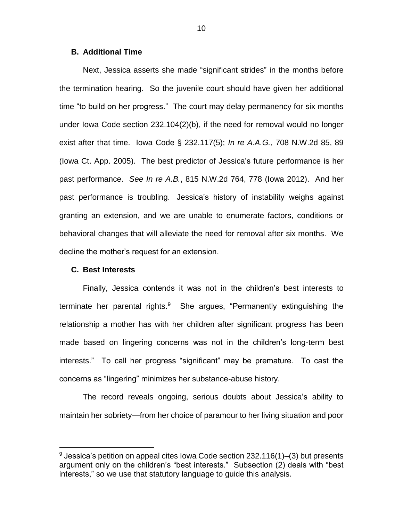### **B. Additional Time**

Next, Jessica asserts she made "significant strides" in the months before the termination hearing. So the juvenile court should have given her additional time "to build on her progress." The court may delay permanency for six months under Iowa Code section 232.104(2)(b), if the need for removal would no longer exist after that time. Iowa Code § 232.117(5); *In re A.A.G.*, 708 N.W.2d 85, 89 (Iowa Ct. App. 2005). The best predictor of Jessica's future performance is her past performance. *See In re A.B.*, 815 N.W.2d 764, 778 (Iowa 2012). And her past performance is troubling. Jessica's history of instability weighs against granting an extension, and we are unable to enumerate factors, conditions or behavioral changes that will alleviate the need for removal after six months. We decline the mother's request for an extension.

#### **C. Best Interests**

 $\overline{a}$ 

Finally, Jessica contends it was not in the children's best interests to terminate her parental rights.<sup>9</sup> She argues, "Permanently extinguishing the relationship a mother has with her children after significant progress has been made based on lingering concerns was not in the children's long-term best interests." To call her progress "significant" may be premature. To cast the concerns as "lingering" minimizes her substance-abuse history.

The record reveals ongoing, serious doubts about Jessica's ability to maintain her sobriety—from her choice of paramour to her living situation and poor

 $9$  Jessica's petition on appeal cites Iowa Code section 232.116(1)–(3) but presents argument only on the children's "best interests." Subsection (2) deals with "best interests," so we use that statutory language to guide this analysis.